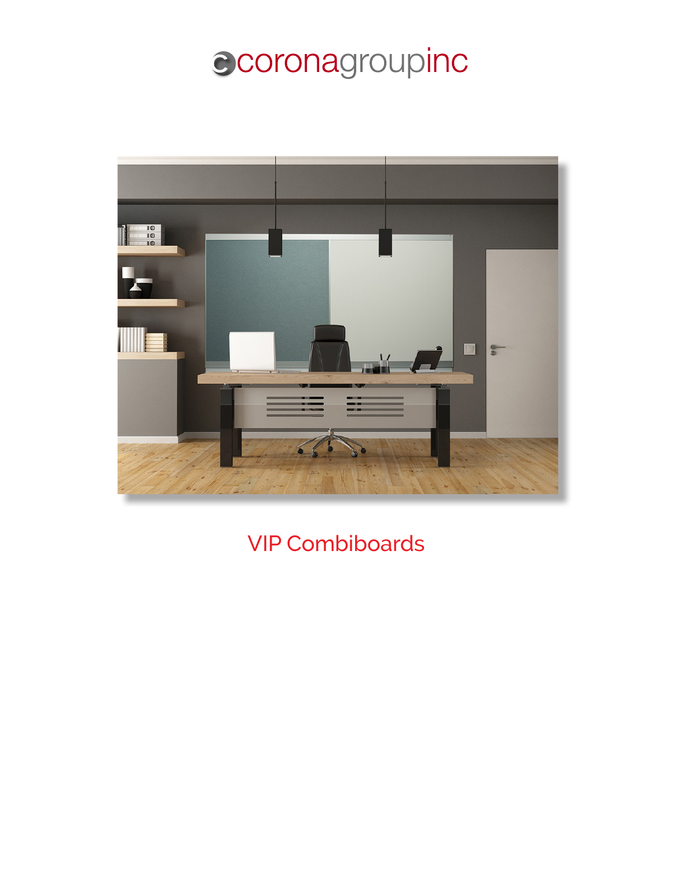# ccoronagroupinc



VIP Combiboards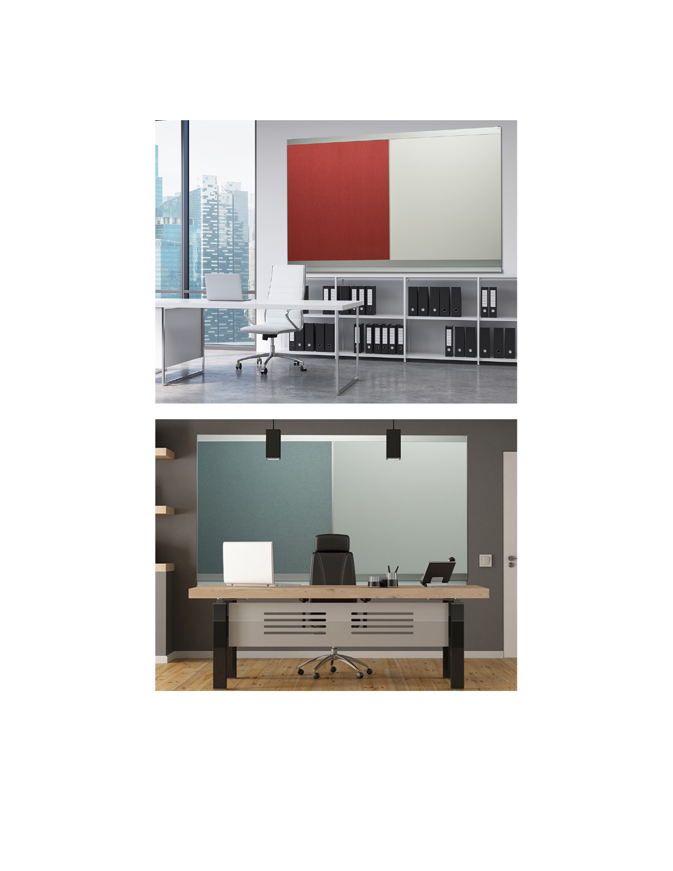